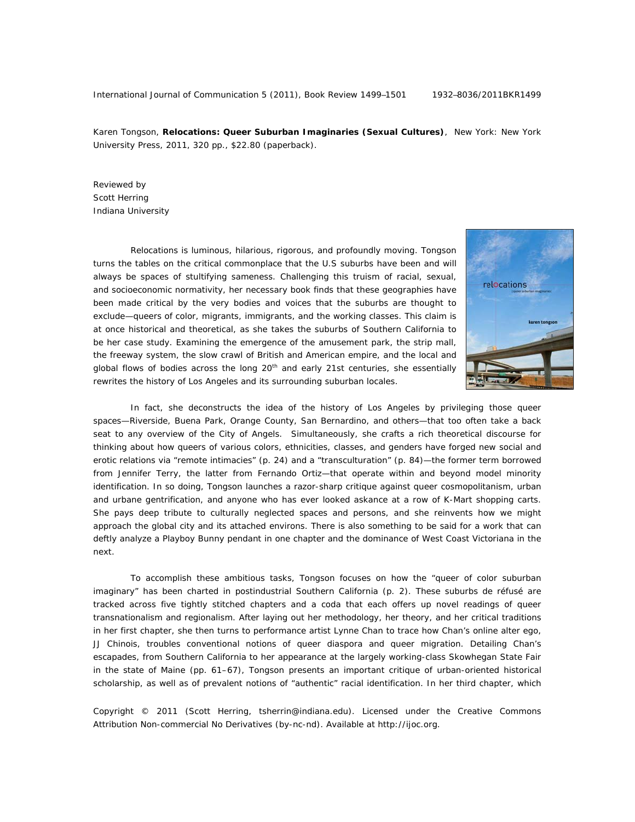International Journal of Communication *5* (2011), Book Review 1499–1501 1932–8036/2011BKR1499

Karen Tongson, **Relocations: Queer Suburban Imaginaries (Sexual Cultures)**, New York: New York University Press, 2011, 320 pp., \$22.80 (paperback).

Reviewed by Scott Herring Indiana University

*Relocations* is luminous, hilarious, rigorous, and profoundly moving. Tongson turns the tables on the critical commonplace that the U.S suburbs have been and will always be spaces of stultifying sameness. Challenging this truism of racial, sexual, and socioeconomic normativity, her necessary book finds that these geographies have been made critical by the very bodies and voices that the suburbs are thought to exclude—queers of color, migrants, immigrants, and the working classes. This claim is at once historical and theoretical, as she takes the suburbs of Southern California to be her case study. Examining the emergence of the amusement park, the strip mall, the freeway system, the slow crawl of British and American empire, and the local and global flows of bodies across the long  $20<sup>th</sup>$  and early 21st centuries, she essentially rewrites the history of Los Angeles and its surrounding suburban locales.



 In fact, she deconstructs the idea of the history of Los Angeles by privileging those queer spaces—Riverside, Buena Park, Orange County, San Bernardino, and others—that too often take a back seat to any overview of the City of Angels. Simultaneously, she crafts a rich theoretical discourse for thinking about how queers of various colors, ethnicities, classes, and genders have forged new social and erotic relations via "remote intimacies" (p. 24) and a "transculturation" (p. 84)—the former term borrowed from Jennifer Terry, the latter from Fernando Ortiz—that operate within and beyond model minority identification. In so doing, Tongson launches a razor-sharp critique against queer cosmopolitanism, urban and urbane gentrification, and anyone who has ever looked askance at a row of K-Mart shopping carts. She pays deep tribute to culturally neglected spaces and persons, and she reinvents how we might approach the global city and its attached environs. There is also something to be said for a work that can deftly analyze a Playboy Bunny pendant in one chapter and the dominance of West Coast Victoriana in the next.

 To accomplish these ambitious tasks, Tongson focuses on how the "queer of color suburban imaginary" has been charted in postindustrial Southern California (p. 2). These suburbs *de réfusé* are tracked across five tightly stitched chapters and a coda that each offers up novel readings of queer transnationalism and regionalism. After laying out her methodology, her theory, and her critical traditions in her first chapter, she then turns to performance artist Lynne Chan to trace how Chan's online alter ego, JJ Chinois, troubles conventional notions of queer diaspora and queer migration. Detailing Chan's escapades, from Southern California to her appearance at the largely working-class Skowhegan State Fair in the state of Maine (pp. 61–67), Tongson presents an important critique of urban-oriented historical scholarship, as well as of prevalent notions of "authentic" racial identification. In her third chapter, which

Copyright © 2011 (Scott Herring, tsherrin@indiana.edu). Licensed under the Creative Commons Attribution Non-commercial No Derivatives (by-nc-nd). Available at http://ijoc.org.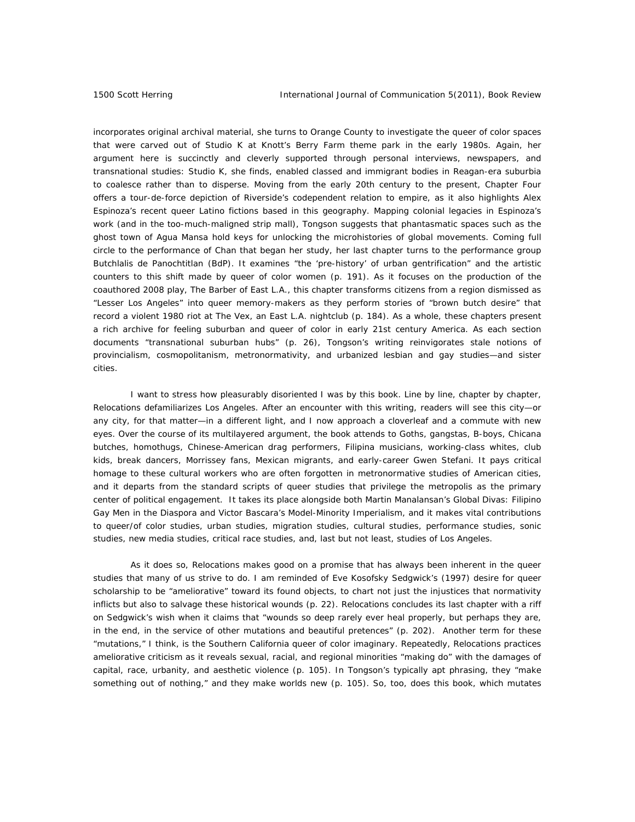incorporates original archival material, she turns to Orange County to investigate the queer of color spaces that were carved out of Studio K at Knott's Berry Farm theme park in the early 1980s. Again, her argument here is succinctly and cleverly supported through personal interviews, newspapers, and transnational studies: Studio K, she finds, enabled classed and immigrant bodies in Reagan-era suburbia to coalesce rather than to disperse. Moving from the early 20th century to the present, Chapter Four offers a tour-de-force depiction of Riverside's codependent relation to empire, as it also highlights Alex Espinoza's recent queer Latino fictions based in this geography. Mapping colonial legacies in Espinoza's work (and in the too-much-maligned strip mall), Tongson suggests that phantasmatic spaces such as the ghost town of Agua Mansa hold keys for unlocking the microhistories of global movements. Coming full circle to the performance of Chan that began her study, her last chapter turns to the performance group Butchlalis de Panochtitlan (BdP). It examines "the 'pre-history' of urban gentrification" and the artistic counters to this shift made by queer of color women (p. 191). As it focuses on the production of the coauthored 2008 play, *The Barber of East L.A.*, this chapter transforms citizens from a region dismissed as "Lesser Los Angeles" into queer memory-makers as they perform stories of "brown butch desire" that record a violent 1980 riot at The Vex, an East L.A. nightclub (p. 184). As a whole, these chapters present a rich archive for feeling suburban and queer of color in early 21st century America. As each section documents "transnational suburban hubs" (p. 26), Tongson's writing reinvigorates stale notions of provincialism, cosmopolitanism, metronormativity, and urbanized lesbian and gay studies—and sister cities.

I want to stress how pleasurably disoriented I was by this book. Line by line, chapter by chapter, *Relocations* defamiliarizes Los Angeles. After an encounter with this writing, readers will see this city—or any city, for that matter—in a different light, and I now approach a cloverleaf and a commute with new eyes. Over the course of its multilayered argument, the book attends to Goths, gangstas, B-boys, Chicana butches, homothugs, Chinese-American drag performers, Filipina musicians, working-class whites, club kids, break dancers, Morrissey fans, Mexican migrants, and early-career Gwen Stefani. It pays critical homage to these cultural workers who are often forgotten in metronormative studies of American cities, and it departs from the standard scripts of queer studies that privilege the metropolis as the primary center of political engagement. It takes its place alongside both Martin Manalansan's *Global Divas: Filipino Gay Men in the Diaspora* and Victor Bascara's *Model-Minority Imperialism*, and it makes vital contributions to queer/of color studies, urban studies, migration studies, cultural studies, performance studies, sonic studies, new media studies, critical race studies, and, last but not least, studies of Los Angeles.

 As it does so, *Relocations* makes good on a promise that has always been inherent in the queer studies that many of us strive to do. I am reminded of Eve Kosofsky Sedgwick's (1997) desire for queer scholarship to be "ameliorative" toward its found objects, to chart not just the injustices that normativity inflicts but also to salvage these historical wounds (p. 22). *Relocations* concludes its last chapter with a riff on Sedgwick's wish when it claims that "wounds so deep rarely ever heal properly, but perhaps they are, in the end, in the service of other mutations and beautiful pretences" (p. 202). Another term for these "mutations," I think, is the Southern California queer of color imaginary. Repeatedly, *Relocations* practices ameliorative criticism as it reveals sexual, racial, and regional minorities "making do" with the damages of capital, race, urbanity, and aesthetic violence (p. 105). In Tongson's typically apt phrasing, they "make something out of nothing," and they make worlds new (p. 105). So, too, does this book, which mutates